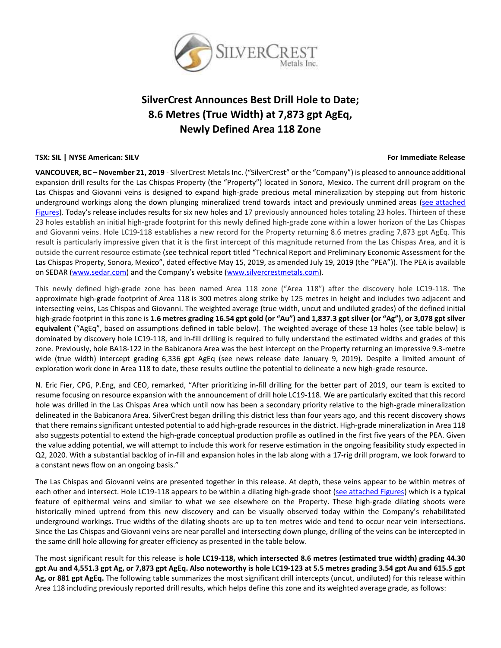

# **SilverCrest Announces Best Drill Hole to Date; 8.6 Metres (True Width) at 7,873 gpt AgEq, Newly Defined Area 118 Zone**

# **TSX: SIL | NYSE American: SILV For Immediate Release**

**VANCOUVER, BC – November 21, 2019** - SilverCrest Metals Inc. ("SilverCrest" or the "Company") is pleased to announce additional expansion drill results for the Las Chispas Property (the "Property") located in Sonora, Mexico. The current drill program on the Las Chispas and Giovanni veins is designed to expand high-grade precious metal mineralization by stepping out from historic underground workings along the down plunging mineralized trend towards intact and previously unmined areas (see attached [Figures\)](http://silvercrestmetals.com/_resources/news/NR-Figure-Nov-21-(Area-118)-615pm.pdf). Today's release includes results for six new holes and 17 previously announced holes totaling 23 holes. Thirteen of these 23 holes establish an initial high-grade footprint for this newly defined high-grade zone within a lower horizon of the Las Chispas and Giovanni veins. Hole LC19-118 establishes a new record for the Property returning 8.6 metres grading 7,873 gpt AgEq. This result is particularly impressive given that it is the first intercept of this magnitude returned from the Las Chispas Area, and it is outside the current resource estimate (see technical report titled "Technical Report and Preliminary Economic Assessment for the Las Chispas Property, Sonora, Mexico", dated effective May 15, 2019, as amended July 19, 2019 (the "PEA")). The PEA is available on SEDAR [\(www.sedar.com](http://www.sedar.com/)) and the Company's website ([www.silvercrestmetals.com\)](http://www.silvercrestmetals.com/).

This newly defined high-grade zone has been named Area 118 zone ("Area 118") after the discovery hole LC19-118. The approximate high-grade footprint of Area 118 is 300 metres along strike by 125 metres in height and includes two adjacent and intersecting veins, Las Chispas and Giovanni. The weighted average (true width, uncut and undiluted grades) of the defined initial high-grade footprint in this zone is **1.6 metres grading 16.54 gpt gold (or "Au") and 1,837.3 gpt silver (or "Ag"), or 3,078 gpt silver equivalent** ("AgEq", based on assumptions defined in table below). The weighted average of these 13 holes (see table below) is dominated by discovery hole LC19-118, and in-fill drilling is required to fully understand the estimated widths and grades of this zone. Previously, hole BA18-122 in the Babicanora Area was the best intercept on the Property returning an impressive 9.3-metre wide (true width) intercept grading 6,336 gpt AgEq (see news release date January 9, 2019). Despite a limited amount of exploration work done in Area 118 to date, these results outline the potential to delineate a new high-grade resource.

N. Eric Fier, CPG, P.Eng, and CEO, remarked, "After prioritizing in-fill drilling for the better part of 2019, our team is excited to resume focusing on resource expansion with the announcement of drill hole LC19-118. We are particularly excited that this record hole was drilled in the Las Chispas Area which until now has been a secondary priority relative to the high-grade mineralization delineated in the Babicanora Area. SilverCrest began drilling this district less than four years ago, and this recent discovery shows that there remains significant untested potential to add high-grade resources in the district. High-grade mineralization in Area 118 also suggests potential to extend the high-grade conceptual production profile as outlined in the first five years of the PEA. Given the value adding potential, we will attempt to include this work for reserve estimation in the ongoing feasibility study expected in Q2, 2020. With a substantial backlog of in-fill and expansion holes in the lab along with a 17-rig drill program, we look forward to a constant news flow on an ongoing basis."

The Las Chispas and Giovanni veins are presented together in this release. At depth, these veins appear to be within metres of each other and intersect. Hole LC19-118 appears to be within a dilating high-grade shoot [\(see attached Figures\)](http://silvercrestmetals.com/_resources/news/NR-Figure-Nov-21-(Area-118)-615pm.pdf) which is a typical feature of epithermal veins and similar to what we see elsewhere on the Property. These high-grade dilating shoots were historically mined uptrend from this new discovery and can be visually observed today within the Company's rehabilitated underground workings. True widths of the dilating shoots are up to ten metres wide and tend to occur near vein intersections. Since the Las Chispas and Giovanni veins are near parallel and intersecting down plunge, drilling of the veins can be intercepted in the same drill hole allowing for greater efficiency as presented in the table below.

The most significant result for this release is **hole LC19-118, which intersected 8.6 metres (estimated true width) grading 44.30 gpt Au and 4,551.3 gpt Ag, or 7,873 gpt AgEq. Also noteworthy is hole LC19-123 at 5.5 metres grading 3.54 gpt Au and 615.5 gpt Ag, or 881 gpt AgEq.** The following table summarizes the most significant drill intercepts (uncut, undiluted) for this release within Area 118 including previously reported drill results, which helps define this zone and its weighted average grade, as follows: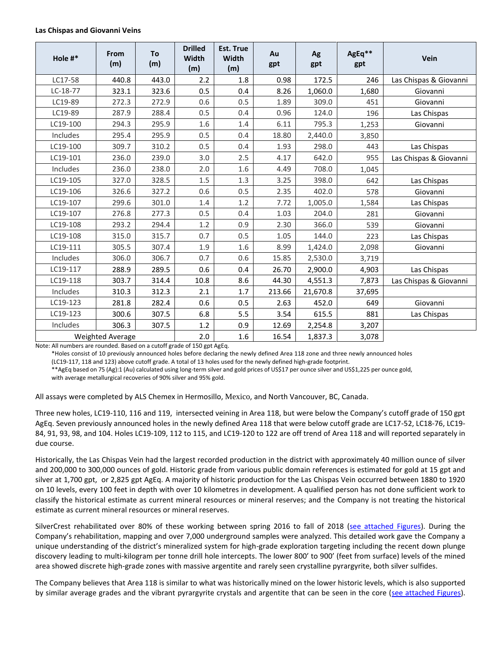## **Las Chispas and Giovanni Veins**

| Hole #*          | From<br>(m) | To<br>(m) | <b>Drilled</b><br>Width<br>(m) | <b>Est. True</b><br>Width<br>(m) | Au<br>gpt | Ag<br>gpt | AgEq**<br>gpt | Vein                   |
|------------------|-------------|-----------|--------------------------------|----------------------------------|-----------|-----------|---------------|------------------------|
| LC17-58          | 440.8       | 443.0     | 2.2                            | 1.8                              | 0.98      | 172.5     | 246           | Las Chispas & Giovanni |
| $LC-18-77$       | 323.1       | 323.6     | 0.5                            | 0.4                              | 8.26      | 1,060.0   | 1,680         | Giovanni               |
| LC19-89          | 272.3       | 272.9     | 0.6                            | 0.5                              | 1.89      | 309.0     | 451           | Giovanni               |
| LC19-89          | 287.9       | 288.4     | 0.5                            | 0.4                              | 0.96      | 124.0     | 196           | Las Chispas            |
| LC19-100         | 294.3       | 295.9     | 1.6                            | 1.4                              | 6.11      | 795.3     | 1,253         | Giovanni               |
| Includes         | 295.4       | 295.9     | 0.5                            | 0.4                              | 18.80     | 2,440.0   | 3,850         |                        |
| LC19-100         | 309.7       | 310.2     | 0.5                            | 0.4                              | 1.93      | 298.0     | 443           | Las Chispas            |
| LC19-101         | 236.0       | 239.0     | 3.0                            | 2.5                              | 4.17      | 642.0     | 955           | Las Chispas & Giovanni |
| Includes         | 236.0       | 238.0     | 2.0                            | 1.6                              | 4.49      | 708.0     | 1,045         |                        |
| LC19-105         | 327.0       | 328.5     | 1.5                            | 1.3                              | 3.25      | 398.0     | 642           | Las Chispas            |
| LC19-106         | 326.6       | 327.2     | 0.6                            | 0.5                              | 2.35      | 402.0     | 578           | Giovanni               |
| LC19-107         | 299.6       | 301.0     | 1.4                            | 1.2                              | 7.72      | 1,005.0   | 1,584         | Las Chispas            |
| LC19-107         | 276.8       | 277.3     | 0.5                            | 0.4                              | 1.03      | 204.0     | 281           | Giovanni               |
| LC19-108         | 293.2       | 294.4     | 1.2                            | 0.9                              | 2.30      | 366.0     | 539           | Giovanni               |
| LC19-108         | 315.0       | 315.7     | 0.7                            | 0.5                              | 1.05      | 144.0     | 223           | Las Chispas            |
| LC19-111         | 305.5       | 307.4     | 1.9                            | 1.6                              | 8.99      | 1,424.0   | 2,098         | Giovanni               |
| Includes         | 306.0       | 306.7     | 0.7                            | 0.6                              | 15.85     | 2,530.0   | 3,719         |                        |
| LC19-117         | 288.9       | 289.5     | 0.6                            | 0.4                              | 26.70     | 2,900.0   | 4,903         | Las Chispas            |
| LC19-118         | 303.7       | 314.4     | 10.8                           | 8.6                              | 44.30     | 4,551.3   | 7,873         | Las Chispas & Giovanni |
| Includes         | 310.3       | 312.3     | 2.1                            | 1.7                              | 213.66    | 21,670.8  | 37,695        |                        |
| LC19-123         | 281.8       | 282.4     | 0.6                            | 0.5                              | 2.63      | 452.0     | 649           | Giovanni               |
| LC19-123         | 300.6       | 307.5     | 6.8                            | 5.5                              | 3.54      | 615.5     | 881           | Las Chispas            |
| Includes         | 306.3       | 307.5     | 1.2                            | 0.9                              | 12.69     | 2,254.8   | 3,207         |                        |
| Weighted Average |             |           | 2.0                            | 1.6                              | 16.54     | 1,837.3   | 3,078         |                        |

Note: All numbers are rounded. Based on a cutoff grade of 150 gpt AgEq.

\*Holes consist of 10 previously announced holes before declaring the newly defined Area 118 zone and three newly announced holes

(LC19-117, 118 and 123) above cutoff grade. A total of 13 holes used for the newly defined high-grade footprint.

\*\*AgEq based on 75 (Ag):1 (Au) calculated using long-term silver and gold prices of US\$17 per ounce silver and US\$1,225 per ounce gold, with average metallurgical recoveries of 90% silver and 95% gold.

All assays were completed by ALS Chemex in Hermosillo, Mexico, and North Vancouver, BC, Canada.

Three new holes, LC19-110, 116 and 119, intersected veining in Area 118, but were below the Company's cutoff grade of 150 gpt AgEq. Seven previously announced holes in the newly defined Area 118 that were below cutoff grade are LC17-52, LC18-76, LC19- 84, 91, 93, 98, and 104. Holes LC19-109, 112 to 115, and LC19-120 to 122 are off trend of Area 118 and will reported separately in due course.

Historically, the Las Chispas Vein had the largest recorded production in the district with approximately 40 million ounce of silver and 200,000 to 300,000 ounces of gold. Historic grade from various public domain references is estimated for gold at 15 gpt and silver at 1,700 gpt, or 2,825 gpt AgEq. A majority of historic production for the Las Chispas Vein occurred between 1880 to 1920 on 10 levels, every 100 feet in depth with over 10 kilometres in development. A qualified person has not done sufficient work to classify the historical estimate as current mineral resources or mineral reserves; and the Company is not treating the historical estimate as current mineral resources or mineral reserves.

SilverCrest rehabilitated over 80% of these working between spring 2016 to fall of 2018 [\(see attached Figures\)](http://silvercrestmetals.com/_resources/news/NR-Figure-Nov-21-(Area-118)-615pm.pdf). During the Company's rehabilitation, mapping and over 7,000 underground samples were analyzed. This detailed work gave the Company a unique understanding of the district's mineralized system for high-grade exploration targeting including the recent down plunge discovery leading to multi-kilogram per tonne drill hole intercepts. The lower 800' to 900' (feet from surface) levels of the mined area showed discrete high-grade zones with massive argentite and rarely seen crystalline pyrargyrite, both silver sulfides.

The Company believes that Area 118 is similar to what was historically mined on the lower historic levels, which is also supported by similar average grades and the vibrant pyrargyrite crystals and argentite that can be seen in the core [\(see attached Figures\)](http://silvercrestmetals.com/_resources/news/NR-Figure-Nov-21-(Area-118)-615pm.pdf).